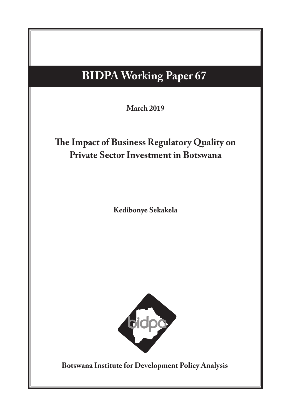# **BIDPA Working Paper 67**

 $\left| \right|$   $\left| \right|$   $\left| \right|$   $\left| \right|$   $\left| \right|$   $\left| \right|$   $\left| \right|$   $\left| \right|$   $\left| \right|$   $\left| \right|$   $\left| \right|$   $\left| \right|$   $\left| \right|$   $\left| \right|$   $\left| \right|$   $\left| \right|$   $\left| \right|$   $\left| \right|$   $\left| \right|$   $\left| \right|$   $\left| \right|$   $\left| \right|$   $\left| \right|$   $\left| \right|$   $\left| \$ **March 2019**

# **Potential Impact on the Botswan The Impact of Business Regulatory Quality on Private Sector Investment in Botswana**

**Margaret Sengwaketse Masedi Motswapong Kedibonye Sekakela**



**Botswana Institute for Development Policy Analysis**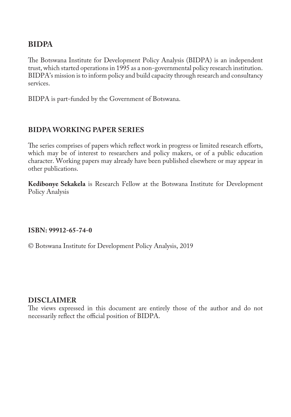### **BIDPA**

The Botswana Institute for Development Policy Analysis (BIDPA) is an independent trust, which started operations in 1995 as a non-governmental policy research institution. BIDPA's mission is to inform policy and build capacity through research and consultancy services.

BIDPA is part-funded by the Government of Botswana.

### **BIDPA WORKING PAPER SERIES**

The series comprises of papers which reflect work in progress or limited research efforts, which may be of interest to researchers and policy makers, or of a public education character. Working papers may already have been published elsewhere or may appear in other publications.

**Kedibonye Sekakela** is Research Fellow at the Botswana Institute for Development Policy Analysis

#### **ISBN: 99912-65-74-0**

© Botswana Institute for Development Policy Analysis, 2019

#### **DISCLAIMER**

The views expressed in this document are entirely those of the author and do not necessarily reflect the official position of BIDPA.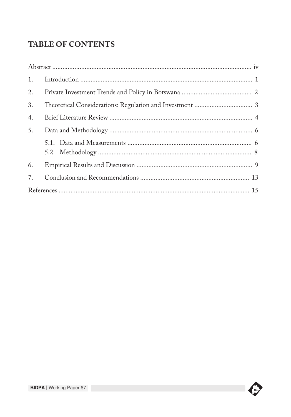# **TABLE OF CONTENTS**

| 2. |  |
|----|--|
| 3. |  |
| 4. |  |
| 5. |  |
|    |  |
| 6. |  |
| 7. |  |
|    |  |

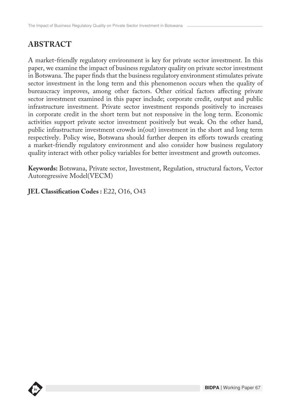# **ABSTRACT**

A market-friendly regulatory environment is key for private sector investment. In this paper, we examine the impact of business regulatory quality on private sector investment in Botswana. The paper finds that the business regulatory environment stimulates private sector investment in the long term and this phenomenon occurs when the quality of bureaucracy improves, among other factors. Other critical factors affecting private sector investment examined in this paper include; corporate credit, output and public infrastructure investment. Private sector investment responds positively to increases in corporate credit in the short term but not responsive in the long term. Economic activities support private sector investment positively but weak. On the other hand, public infrastructure investment crowds in(out) investment in the short and long term respectively. Policy wise, Botswana should further deepen its efforts towards creating a market-friendly regulatory environment and also consider how business regulatory quality interact with other policy variables for better investment and growth outcomes.

**Keywords:** Botswana, Private sector, Investment, Regulation, structural factors, Vector Autoregressive Model(VECM)

**JEL Classification Codes : E22, O16, O43** 

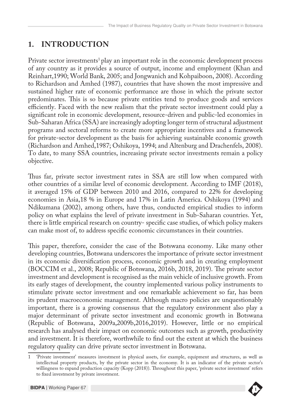## **1. INTRODUCTION**

Private sector investments<sup>1</sup> play an important role in the economic development process of any country as it provides a source of output, income and employment (Khan and Reinhart,1990; World Bank, 2005; and Jongwanich and Kohpaiboon, 2008). According to Richardson and Amhed (1987), countries that have shown the most impressive and sustained higher rate of economic performance are those in which the private sector predominates. This is so because private entities tend to produce goods and services efficiently. Faced with the new realism that the private sector investment could play a significant role in economic development, resource-driven and public-led economies in Sub-Saharan Africa (SSA) are increasingly adopting longer term of structural adjustment programs and sectoral reforms to create more appropriate incentives and a framework for private-sector development as the basis for achieving sustainable economic growth (Richardson and Amhed,1987; Oshikoya, 1994; and Altenburg and Drachenfels, 2008). To date, to many SSA countries, increasing private sector investments remain a policy objective.

Thus far, private sector investment rates in SSA are still low when compared with other countries of a similar level of economic development. According to IMF (2018), it averaged 15% of GDP between 2010 and 2016, compared to 22% for developing economies in Asia,18 % in Europe and 17% in Latin America. Oshikoya (1994) and Ndikumana (2002), among others, have thus, conducted empirical studies to inform policy on what explains the level of private investment in Sub-Saharan countries. Yet, there is little empirical research on country- specific case studies, of which policy makers can make most of, to address specific economic circumstances in their countries.

This paper, therefore, consider the case of the Botswana economy. Like many other developing countries, Botswana underscores the importance of private sector investment in its economic diversification process, economic growth and in creating employment (BOCCIM et al., 2008; Republic of Botswana, 2016b, 2018, 2019). The private sector investment and development is recognised as the main vehicle of inclusive growth. From its early stages of development, the country implemented various policy instruments to stimulate private sector investment and one remarkable achievement so far, has been its prudent macroeconomic management. Although macro policies are unquestionably important, there is a growing consensus that the regulatory environment also play a major determinant of private sector investment and economic growth in Botswana (Republic of Botswana, 2009a,2009b,2016,2019). However, little or no empirical research has analysed their impact on economic outcomes such as growth, productivity and investment. It is therefore, worthwhile to find out the extent at which the business regulatory quality can drive private sector investment in Botswana.

**BIDPA Publications Series** willingness to expand production capacity (Kopp (2018)). Throughout this paper, 'private sector investment' refers 1 'Private investment' measures investment in physical assets, for example, equipment and structures, as well as intellectual property products, by the private sector in the economy. It is an indicator of the private sector's to fixed investment by private investment.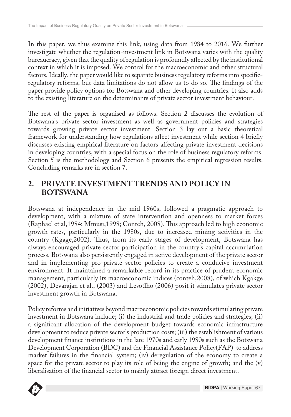In this paper, we thus examine this link, using data from 1984 to 2016. We further investigate whether the regulation-investment link in Botswana varies with the quality bureaucracy, given that the quality of regulation is profoundly affected by the institutional context in which it is imposed. We control for the macroeconomic and other structural factors. Ideally, the paper would like to separate business regulatory reforms into specificregulatory reforms, but data limitations do not allow us to do so. The findings of the paper provide policy options for Botswana and other developing countries. It also adds to the existing literature on the determinants of private sector investment behaviour.

The rest of the paper is organised as follows. Section 2 discusses the evolution of Botswana's private sector investment as well as government policies and strategies towards growing private sector investment. Section 3 lay out a basic theoretical framework for understanding how regulations affect investment while section 4 briefly discusses existing empirical literature on factors affecting private investment decisions in developing countries, with a special focus on the role of business regulatory reforms. Section 5 is the methodology and Section 6 presents the empirical regression results. Concluding remarks are in section 7.

### **2. PRIVATE INVESTMENT TRENDS AND POLICY IN BOTSWANA**

Botswana at independence in the mid-1960s, followed a pragmatic approach to development, with a mixture of state intervention and openness to market forces (Raphael et al,1984; Mmusi,1998; Conteh, 2008). This approach led to high economic growth rates, particularly in the 1980s, due to increased mining activities in the country (Kgage,2002). Thus, from its early stages of development, Botswana has always encouraged private sector participation in the country's capital accumulation process. Botswana also persistently engaged in active development of the private sector and in implementing pro-private sector policies to create a conducive investment environment. It maintained a remarkable record in its practice of prudent economic management, particularly its macroeconomic indices (conteh,2008), of which Kgakge (2002), Devarajan et al., (2003) and Lesotlho (2006) posit it stimulates private sector investment growth in Botswana.

**BIDPA Publications Series** liberalisation of the financial sector to mainly attract foreign direct investment.Policy reforms and initiatives beyond macroeconomic policies towards stimulating private investment in Botswana include; (i) the industrial and trade policies and strategies; (ii) a significant allocation of the development budget towards economic infrastructure development to reduce private sector's production costs; (iii) the establishment of various development finance institutions in the late 1970s and early 1980s such as the Botswana Development Corporation (BDC) and the Financial Assistance Policy(FAP) to address market failures in the financial system; (iv) deregulation of the economy to create a space for the private sector to play its role of being the engine of growth; and the (v)

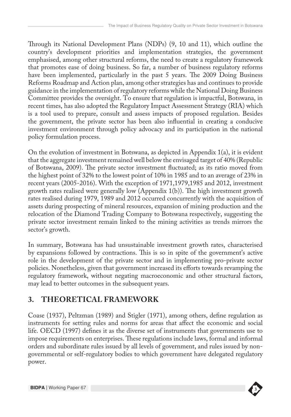Through its National Development Plans (NDPs) (9, 10 and 11), which outline the country's development priorities and implementation strategies, the government emphasised, among other structural reforms, the need to create a regulatory framework that promotes ease of doing business. So far, a number of business regulatory reforms have been implemented, particularly in the past 5 years. The 2009 Doing Business Reforms Roadmap and Action plan, among other strategies has and continues to provide guidance in the implementation of regulatory reforms while the National Doing Business Committee provides the oversight. To ensure that regulation is impactful, Botswana, in recent times, has also adopted the Regulatory Impact Assessment Strategy (RIA) which is a tool used to prepare, consult and assess impacts of proposed regulation. Besides the government, the private sector has been also influential in creating a conducive investment environment through policy advocacy and its participation in the national policy formulation process.

On the evolution of investment in Botswana, as depicted in Appendix 1(a), it is evident that the aggregate investment remained well below the envisaged target of 40% (Republic of Botswana, 2009). The private sector investment fluctuated; as its ratio moved from the highest point of 32% to the lowest point of 10% in 1985 and to an average of 23% in recent years (2005-2016). With the exception of 1971,1979,1985 and 2012, investment growth rates realised were generally low (Appendix 1(b)). The high investment growth rates realised during 1979, 1989 and 2012 occurred concurrently with the acquisition of assets during prospecting of mineral resources, expansion of mining production and the relocation of the Diamond Trading Company to Botswana respectively, suggesting the private sector investment remain linked to the mining activities as trends mirrors the sector's growth.

In summary, Botswana has had unsustainable investment growth rates, characterised by expansions followed by contractions. This is so in spite of the government's active role in the development of the private sector and in implementing pro-private sector policies. Nonetheless, given that government increased its efforts towards revamping the regulatory framework, without negating macroeconomic and other structural factors, may lead to better outcomes in the subsequent years.

# **3. THEORETICAL FRAMEWORK**

Coase (1937), Peltzman (1989) and Stigler (1971), among others, define regulation as instruments for setting rules and norms for areas that affect the economic and social life. OECD (1997) defines it as the diverse set of instruments that governments use to impose requirements on enterprises. These regulations include laws, formal and informal orders and subordinate rules issued by all levels of government, and rules issued by nongovernmental or self-regulatory bodies to which government have delegated regulatory power.

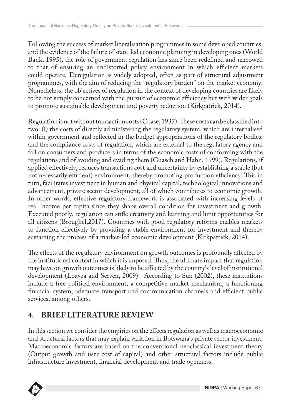Following the success of market liberalisation programmes in some developed countries, and the evidence of the failure of state-led economic planning in developing ones (World Bank, 1995), the role of government regulation has since been redefined and narrowed to that of ensuring an undistorted policy environment in which efficient markets could operate. Deregulation is widely adopted, often as part of structural adjustment programmes, with the aim of reducing the "regulatory burden" on the market economy. Nonetheless, the objectives of regulation in the context of developing countries are likely to be not simply concerned with the pursuit of economic efficiency but with wider goals to promote sustainable development and poverty reduction (Kirkpatrick, 2014).

Regulation is not without transaction costs (Coase, 1937). These costs can be classified into two: (i) the costs of directly administering the regulatory system, which are internalised within government and reflected in the budget appropriations of the regulatory bodies; and the compliance costs of regulation, which are external to the regulatory agency and fall on consumers and producers in terms of the economic costs of conforming with the regulations and of avoiding and evading them (Guasch and Hahn, 1999). Regulations, if applied effectively, reduces transactions cost and uncertainty by establishing a stable (but not necessarily efficient) environment, thereby promoting production efficiency. This in turn, facilitates investment in human and physical capital, technological innovations and advancement, private sector development, all of which contributes to economic growth. In other words, effective regulatory framework is associated with increasing levels of real income per capita since they shape overall condition for investment and growth. Executed poorly, regulation can stifle creativity and learning and limit opportunities for all citizens (Broughel,2017). Countries with good regulatory reforms enables markets to function effectively by providing a stable environment for investment and thereby sustaining the process of a market-led economic development (Kirkpatrick, 2014).

The effects of the regulatory environment on growth outcomes is profoundly affected by the institutional context in which it is imposed. Thus, the ultimate impact that regulation may have on growth outcomes is likely to be affected by the country's level of institutional development (Loayza and Serven, 2009). According to Sun (2002), these institutions include a free political environment, a competitive market mechanism, a functioning financial system, adequate transport and communication channels and efficient public services, among others.

# **4. BRIEF LITERATURE REVIEW**

In this section we consider the empirics on the effects regulation as well as macroeconomic and structural factors that may explain variation in Botswana's private sector investment. Macroeconomic factors are based on the conventional neoclassical investment theory (Output growth and user cost of capital) and other structural factors include public infrastructure investment, financial development and trade openness.

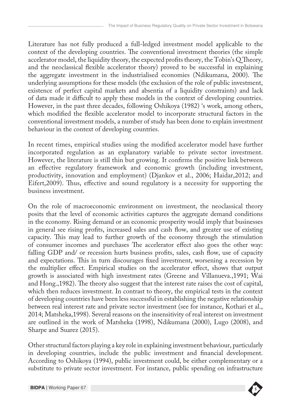Literature has not fully produced a full-ledged investment model applicable to the context of the developing countries. The conventional investment theories (the simple accelerator model, the liquidity theory, the expected profits theory, the Tobin's Q Theory, and the neoclassical flexible accelerator theory) proved to be successful in explaining the aggregate investment in the industrialised economies (Ndikumana, 2000). The underlying assumptions for these models (the exclusion of the role of public investment, existence of perfect capital markets and absentia of a liquidity constraints) and lack of data made it difficult to apply these models in the context of developing countries. However, in the past three decades, following Oshikoya (1982) 's work, among others, which modified the flexible accelerator model to incorporate structural factors in the conventional investment models, a number of study has been done to explain investment behaviour in the context of developing countries.

In recent times, empirical studies using the modified accelerator model have further incorporated regulation as an explanatory variable to private sector investment. However, the literature is still thin but growing. It confirms the positive link between an effective regulatory framework and economic growth (including investment, productivity, innovation and employment) (Djankov et al., 2006; Haidar,2012; and Eifert,2009). Thus, effective and sound regulatory is a necessity for supporting the business investment.

On the role of macroeconomic environment on investment, the neoclassical theory posits that the level of economic activities captures the aggregate demand conditions in the economy. Rising demand or an economic prosperity would imply that businesses in general see rising profits, increased sales and cash flow, and greater use of existing capacity. This may lead to further growth of the economy through the stimulation of consumer incomes and purchases The accelerator effect also goes the other way: falling GDP and/ or recession hurts business profits, sales, cash flow, use of capacity and expectations. This in turn discourages fixed investment, worsening a recession by the multiplier effect. Empirical studies on the accelerator effect, shows that output growth is associated with high investment rates (Greene and Villanueva.,1991; Wai and Hong.,1982). The theory also suggest that the interest rate raises the cost of capital, which then reduces investment. In contrast to theory, the empirical tests in the context of developing countries have been less successful in establishing the negative relationship between real interest rate and private sector investment (see for instance, Kothari et al., 2014; Matsheka,1998). Several reasons on the insensitivity of real interest on investment are outlined in the work of Matsheka (1998), Ndikumana (2000), Lugo (2008), and Sharpe and Suarez (2015).

**BIDPA Publications Series** substitute to private sector investment. For instance, public spending on infrastructure Other structural factors playing a key role in explaining investment behaviour, particularly in developing countries, include the public investment and financial development. According to Oshikoya (1994), public investment could, be either complementary or a

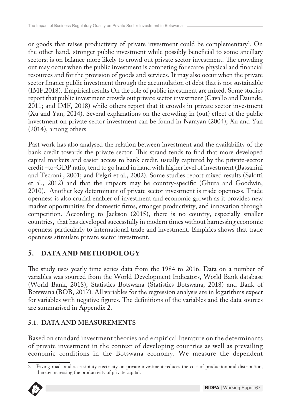or goods that raises productivity of private investment could be complementary<sup>2</sup>. On the other hand, stronger public investment while possibly beneficial to some ancillary sectors; is on balance more likely to crowd out private sector investment. The crowding out may occur when the public investment is competing for scarce physical and financial resources and for the provision of goods and services. It may also occur when the private sector finance public investment through the accumulation of debt that is not sustainable (IMF,2018). Empirical results On the role of public investment are mixed. Some studies report that public investment crowds out private sector investment (Cavallo and Daunde, 2011; and IMF, 2018) while others report that it crowds in private sector investment (Xu and Yan, 2014). Several explanations on the crowding in (out) effect of the public investment on private sector investment can be found in Narayan (2004), Xu and Yan (2014), among others.

Past work has also analysed the relation between investment and the availability of the bank credit towards the private sector. This strand tends to find that more developed capital markets and easier access to bank credit, usually captured by the private-sector credit –to-GDP ratio, tend to go hand in hand with higher level of investment (Bassanini and Tecroni., 2001; and Pelgri et al., 2002). Some studies report mixed results (Salotti et al., 2012) and that the impacts may be country-specific (Ghura and Goodwin, 2010). Another key determinant of private sector investment is trade openness. Trade openness is also crucial enabler of investment and economic growth as it provides new market opportunities for domestic firms, stronger productivity, and innovation through competition. According to Jackson (2015), there is no country, especially smaller countries, that has developed successfully in modern times without harnessing economic openness particularly to international trade and investment. Empirics shows that trade openness stimulate private sector investment.

### **5. DATA AND METHODOLOGY**

The study uses yearly time series data from the 1984 to 2016. Data on a number of variables was sourced from the World Development Indicators, World Bank database (World Bank, 2018), Statistics Botswana (Statistics Botswana, 2018) and Bank of Botswana (BOB, 2017). All variables for the regression analysis are in logarithms expect for variables with negative figures. The definitions of the variables and the data sources are summarised in Appendix 2.

### **5.1. DATA AND MEASUREMENTS**

Based on standard investment theories and empirical literature on the determinants of private investment in the context of developing countries as well as prevailing economic conditions in the Botswana economy. We measure the dependent

thereby increasing the productivity of private capital. 2 Paving roads and accessibility electricity on private investment reduces the cost of production and distribution,

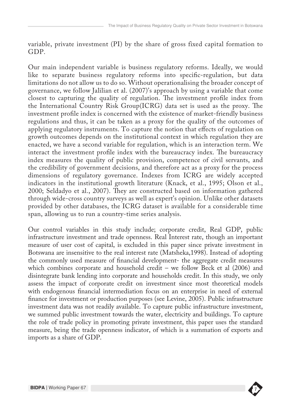variable, private investment (PI) by the share of gross fixed capital formation to GDP.

Our main independent variable is business regulatory reforms. Ideally, we would like to separate business regulatory reforms into specific-regulation, but data limitations do not allow us to do so. Without operationalising the broader concept of governance, we follow Jalilian et al. (2007)'s approach by using a variable that come closest to capturing the quality of regulation. The investment profile index from the International Country Risk Group(ICRG) data set is used as the proxy. The investment profile index is concerned with the existence of market-friendly business regulations and thus, it can be taken as a proxy for the quality of the outcomes of applying regulatory instruments. To capture the notion that effects of regulation on growth outcomes depends on the institutional context in which regulation they are enacted, we have a second variable for regulation, which is an interaction term. We interact the investment profile index with the bureaucracy index. The bureaucracy index measures the quality of public provision, competence of civil servants, and the credibility of government decisions, and therefore act as a proxy for the process dimensions of regulatory governance. Indexes from ICRG are widely accepted indicators in the institutional growth literature (Knack, et al., 1995; Olson et al., 2000; Seldadyo et al., 2007). They are constructed based on information gathered through wide-cross country surveys as well as expert's opinion. Unlike other datasets provided by other databases, the ICRG dataset is available for a considerable time span, allowing us to run a country-time series analysis.

Our control variables in this study include; corporate credit, Real GDP, public infrastructure investment and trade openness. Real Interest rate, though an important measure of user cost of capital, is excluded in this paper since private investment in Botswana are insensitive to the real interest rate (Matsheka,1998). Instead of adopting the commonly used measure of financial development- the aggregate credit measures which combines corporate and household credit – we follow Beck et al (2006) and disintegrate bank lending into corporate and households credit. In this study, we only assess the impact of corporate credit on investment since most theoretical models with endogenous financial intermediation focus on an enterprise in need of external finance for investment or production purposes (see Levine, 2005). Public infrastructure investment data was not readily available. To capture public infrastructure investment, we summed public investment towards the water, electricity and buildings. To capture the role of trade policy in promoting private investment, this paper uses the standard measure, being the trade openness indicator, of which is a summation of exports and imports as a share of GDP.

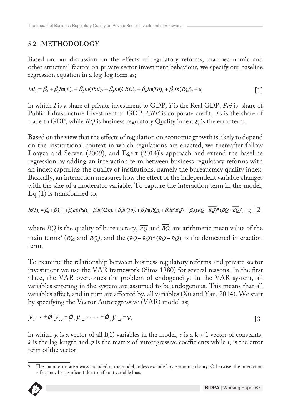### **5.2 METHODOLOGY**

Based on our discussion on the effects of regulatory reforms, macroeconomic and other structural factors on private sector investment behaviour, we specify our baseline regression equation in a log-log form as;

$$
InI_t = \beta_0 + \beta_1 In(Y)_t + \beta_2 In(Pui)_t + \beta_3 In(CRE)_t + \beta_4 In(To)_t + \beta_5 In(RQ)_t + \varepsilon_t
$$
\n[1]

in which *I* is a share of private investment to GDP, *Y* is the Real GDP, *Pui* is share of Public Infrastructure Investment to GDP, *CRE* is corporate credit, *To* is the share of trade to GDP, while  $RQ$  is business regulatory Quality index.  $\varepsilon$ , is the error term.

Based on the view that the effects of regulation on economic growth is likely to depend on the institutional context in which regulations are enacted, we thereafter follow Loayza and Serven (2009), and Egert (2014)'s approach and extend the baseline regression by adding an interaction term between business regulatory reforms with an index capturing the quality of institutions, namely the bureaucracy quality index. Basically, an interaction measures how the effect of the independent variable changes with the size of a moderator variable. To capture the interaction term in the model, Eq (1) is transformed to;

$$
In(I)_t = \beta_0 + \beta_1 Y_t + \beta_2 In(Pui)_t + \beta_3 In(Cre)_t + \beta_4 In(To)_t + \beta_5 In(RQ)_t + \beta_6 In(BQ)_t + \beta_7 ((RQ - \overline{RQ})^* (BQ - \overline{BQ}))_t + \varepsilon_t [2]
$$

where *BQ* is the quality of bureaucracy,  $\overline{RQ}$  and  $\overline{BQ}$ , are arithmetic mean value of the main terms<sup>3</sup> (*RQ*<sub>*i*</sub> and *BQ*<sub>*i*</sub>), and the  $(RQ - RQ) * (BQ - BQ)$ , is the demeaned interaction term.

To examine the relationship between business regulatory reforms and private sector investment we use the VAR framework (Sims 1980) for several reasons. In the first place, the VAR overcomes the problem of endogeneity. In the VAR system, all variables entering in the system are assumed to be endogenous. This means that all variables affect, and in turn are affected by, all variables (Xu and Yan, 2014). We start by specifying the Vector Autoregressive (VAR) model as;

$$
y_{i} = c + \phi_{1} y_{i-1} + \phi_{2} y_{i-2} + \dots + \phi_{k} y_{i-k} + v_{i}
$$
\n[3]

in which y, is a vector of all I(1) variables in the model, c is a  $k \times 1$  vector of constants, k is the lag length and  $\phi$  is the matrix of autoregressive coefficients while  $v_i$  is the error term of the vector.

effect may be significant due to left-out variable bias. 3 The main terms are always included in the model, unless excluded by economic theory. Otherwise, the interaction

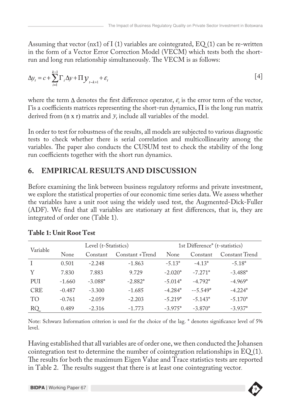Assuming that vector (nx1) of I (1) variables are cointegrated, EQ (1) can be re-written in the form of a Vector Error Correction Model (VECM) which tests both the shortrun and long run relationship simultaneously. The VECM is as follows:

$$
\Delta y_t = c + \sum_{i=1}^{k-1} \Gamma_i \Delta y + \Pi y_{t-k+1} + \varepsilon_t
$$
\n
$$
\tag{4}
$$

where the term  $\Delta$  denotes the first difference operator,  $\varepsilon$ , is the error term of the vector, It is a coefficients matrices representing the short-run dynamics,  $\Pi$  is the long run matrix derived from  $(n \times r)$  matrix and  $y_t$  include all variables of the model.

In order to test for robustness of the results, all models are subjected to various diagnostic tests to check whether there is serial correlation and multicollinearity among the variables. The paper also conducts the CUSUM test to check the stability of the long run coefficients together with the short run dynamics.

# **6. EMPIRICAL RESULTS AND DISCUSSION**

Before examining the link between business regulatory reforms and private investment, we explore the statistical properties of our economic time series data. We assess whether the variables have a unit root using the widely used test, the Augmented-Dick-Fuller (ADF). We find that all variables are stationary at first differences, that is, they are integrated of order one (Table 1).

|                 | Level (t-Statistics) |           |                 | 1st Difference <sup>*</sup> (t-statistics) |           |                |
|-----------------|----------------------|-----------|-----------------|--------------------------------------------|-----------|----------------|
| Variable        | None                 | Constant  | Constant +Trend | None                                       | Constant  | Constant Trend |
|                 | 0.501                | $-2.248$  | $-1.863$        | $-5.13*$                                   | $-4.13*$  | $-5.18*$       |
| Y               | 7.830                | 7.883     | 9.729           | $-2.020*$                                  | $-7.271*$ | $-3.488*$      |
| PUI             | $-1.660$             | $-3.088*$ | $-2.882*$       | $-5.014*$                                  | $-4.792*$ | $-4.969*$      |
| <b>CRE</b>      | $-0.487$             | $-3.300$  | $-1.685$        | $-4.284*$                                  | $-5.549*$ | $-4.224*$      |
| TO <sub>1</sub> | $-0.761$             | $-2.059$  | $-2.203$        | $-5.219*$                                  | $-5.143*$ | $-5.170*$      |
| RQ              | 0.489                | $-2.316$  | $-1.773$        | $-3.975*$                                  | $-3.870*$ | $-3.937*$      |

#### **Table 1: Unit Root Test**

Note: Schwarz Information criterion is used for the choice of the lag. \* denotes significance level of 5% level.

Having established that all variables are of order one, we then conducted the Johansen cointegration test to determine the number of cointegration relationships in EQ (1). The results for both the maximum Eigen Value and Trace statistics tests are reported in Table 2. The results suggest that there is at least one cointegrating vector.

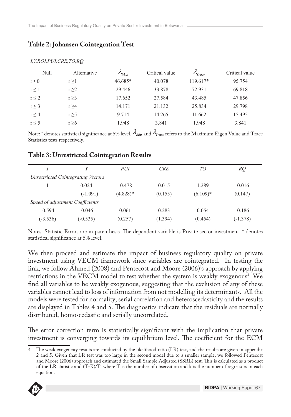| I, Y, ROI, PUI, CRE, TO, RO |             |                    |                |                       |                |  |
|-----------------------------|-------------|--------------------|----------------|-----------------------|----------------|--|
| Null                        | Alternative | $\mu_{\text{Max}}$ | Critical value | $\tau_{\text{Trace}}$ | Critical value |  |
| $r = 0$                     | $r \geq 1$  | 46.685*            | 40.078         | $119.617*$            | 95.754         |  |
| $r \leq 1$                  | $r \geq 2$  | 29.446             | 33.878         | 72.931                | 69.818         |  |
| $r \leq 2$                  | $r \geq 3$  | 17.652             | 27.584         | 43.485                | 47.856         |  |
| $r \leq 3$                  | $r \geq 4$  | 14.171             | 21.132         | 25.834                | 29.798         |  |
| $r \leq 4$                  | $r \geq 5$  | 9.714              | 14.265         | 11.662                | 15.495         |  |
| $r \leq 5$                  | $r \geq 6$  | 1.948              | 3.841          | 1.948                 | 3.841          |  |

#### **Table 2: Johansen Cointegration Test**

Note: \* denotes statistical significance at 5% level.  $\lambda_{Max}$  and  $\lambda_{Trace}$  refers to the Maximum Eigen Value and Trace Statistics tests respectively.

### *I Y PUI CRE TO RQ Unrestricted Cointegrating Vectors* 1 0.024 -0.478 0.015 1.289 -0.016  $(-1.091)$   $(4.828)*$   $(0.155)$   $(6.109)*$   $(0.147)$ *Speed of adjustment Coefficients* -0.594 -0.046 0.061 0.283 0.054 -0.186 (-3.536) (-0.535) (0.257) (1.394) (0.454) (-1.378)

#### **Table 3: Unrestricted Cointegration Results**

Notes: Statistic Errors are in parenthesis. The dependent variable is Private sector investment. \* denotes statistical significance at 5% level.

We then proceed and estimate the impact of business regulatory quality on private investment using VECM framework since variables are cointegrated. In testing the link, we follow Ahmed (2008) and Pentecost and Moore (2006)'s approach by applying restrictions in the VECM model to test whether the system is weakly exogenous<sup>4</sup>. We find all variables to be weakly exogenous, suggesting that the exclusion of any of these variables cannot lead to loss of information from not modelling its determinants. All the models were tested for normality, serial correlation and heteroscedasticity and the results are displayed in Tables 4 and 5. The diagnostics indicate that the residuals are normally distributed, homoscedastic and serially uncorrelated.

The error correction term is statistically significant with the implication that private investment is converging towards its equilibrium level. The coefficient for the ECM

equation. 4 The weak exogeneity results are conducted by the likelihood ratio (LR) test, and the results are given in appendix 2 and 5. Given that LR test was too large in the second model due to a smaller sample, we followed Pentecost and Moore (2006) approach and estimated the Small Sample Adjusted (SSRL) test. This is calculated as a product of the LR statistic and (T-K)/T, where T is the number of observation and k is the number of regressors in each

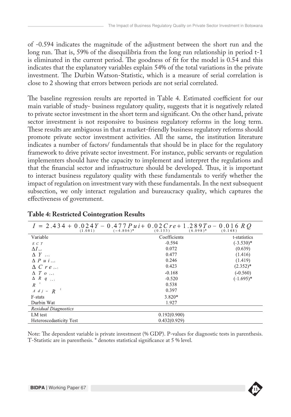of -0.594 indicates the magnitude of the adjustment between the short run and the long run. That is, 59% of the disequilibria from the long run relationship in period t-1 is eliminated in the current period. The goodness of fit for the model is 0.54 and this indicates that the explanatory variables explain 54% of the total variations in the private investment. The Durbin Watson-Statistic, which is a measure of serial correlation is close to 2 showing that errors between periods are not serial correlated.

The baseline regression results are reported in Table 4. Estimated coefficient for our main variable of study- business regulatory quality, suggests that it is negatively related to private sector investment in the short term and significant. On the other hand, private sector investment is not responsive to business regulatory reforms in the long term. These results are ambiguous in that a market-friendly business regulatory reforms should promote private sector investment activities. All the same, the institution literature indicates a number of factors/ fundamentals that should be in place for the regulatory framework to drive private sector investment. For instance, public servants or regulation implementers should have the capacity to implement and interpret the regulations and that the financial sector and infrastructure should be developed. Thus, it is important to interact business regulatory quality with these fundamentals to verify whether the impact of regulation on investment vary with these fundamentals. In the next subsequent subsection, we only interact regulation and bureaucracy quality, which captures the effectiveness of government.

| $I = 2.434 + 0.024Y - 0.477P$ $ui + 0.02C$ $r e + 1.289T o - 0.016 R$ Q<br>$(-4.806)^*$<br>(1.081) | $(6.098)^*$<br>(0.153) | (0.148)      |
|----------------------------------------------------------------------------------------------------|------------------------|--------------|
| Variable                                                                                           | Coefficients           | t-statistics |
| E C T                                                                                              | $-0.594$               | $(-3.530)^*$ |
| $\Delta I$ and                                                                                     | 0.072                  | (0.639)      |
| $\Delta Y$ <sub>1-1</sub>                                                                          | 0.477                  | (1.416)      |
| $\Delta P u i$                                                                                     | 0.246                  | (1.419)      |
| $\Delta C r e_{i-1}$                                                                               | 0.423                  | $(2.352)^*$  |
| $\Delta T$ $\sigma$ $\sim$                                                                         | $-0.168$               | $(-0.560)$   |
| $\Delta$ R q $_{i=1}$                                                                              | $-0.520$               | $(-1.695)*$  |
| $R^{-2}$                                                                                           | 0.538                  |              |
| $A \, d \, j = R$                                                                                  | 0.397                  |              |
| F-stats                                                                                            | $3.820*$               |              |
| Durbin Wat                                                                                         | 1.927                  |              |
| <b>Residual Diagnostics</b>                                                                        |                        |              |
| LM test                                                                                            | 0.192(0.900)           |              |
| Heteroscedasticity Test                                                                            | 0.432(0.929)           |              |

#### **Table 4: Restricted Cointegration Results**

Note: The dependent variable is private investment (% GDP). P-values for diagnostic tests in parenthesis. T-Statistic are in parenthesis. \* denotes statistical significance at 5 % level.

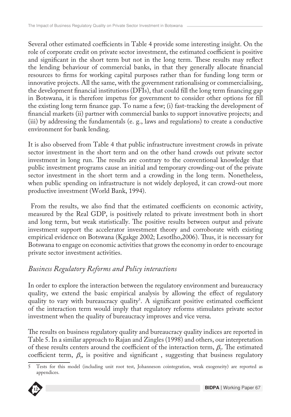Several other estimated coefficients in Table 4 provide some interesting insight. On the role of corporate credit on private sector investment, the estimated coefficient is positive and significant in the short term but not in the long term. These results may reflect the lending behaviour of commercial banks, in that they generally allocate financial resources to firms for working capital purposes rather than for funding long term or innovative projects. All the same, with the government rationalising or commercialising, the development financial institutions (DFIs), that could fill the long term financing gap in Botswana, it is therefore impetus for government to consider other options for fill the existing long term finance gap. To name a few; (i) fast-tracking the development of financial markets (ii) partner with commercial banks to support innovative projects; and (iii) by addressing the fundamentals (e. g., laws and regulations) to create a conductive environment for bank lending.

It is also observed from Table 4 that public infrastructure investment crowds in private sector investment in the short term and on the other hand crowds out private sector investment in long run. The results are contrary to the conventional knowledge that public investment programs cause an initial and temporary crowding-out of the private sector investment in the short term and a crowding in the long term. Nonetheless, when public spending on infrastructure is not widely deployed, it can crowd-out more productive investment (World Bank, 1994).

 From the results, we also find that the estimated coefficients on economic activity, measured by the Real GDP, is positively related to private investment both in short and long term, but weak statistically. The positive results between output and private investment support the accelerator investment theory and corroborate with existing empirical evidence on Botswana (Kgakge 2002; Lesotlho,2006). Thus, it is necessary for Botswana to engage on economic activities that grows the economy in order to encourage private sector investment activities.

### *Business Regulatory Reforms and Policy interactions*

In order to explore the interaction between the regulatory environment and bureaucracy quality, we extend the basic empirical analysis by allowing the effect of regulatory quality to vary with bureaucracy quality<sup>5</sup>. A significant positive estimated coefficient of the interaction term would imply that regulatory reforms stimulates private sector investment when the quality of bureaucracy improves and vice versa.

The results on business regulatory quality and bureaucracy quality indices are reported in Table 5. In a similar approach to Rajan and Zingles (1998) and others, our interpretation of these results centers around the coefficient of the interaction term,  $\beta$ . The estimated coefficient term,  $\beta_n$  is positive and significant, suggesting that business regulatory

appendices. 5 Tests for this model (including unit root test, Johanneson cointegration, weak exogeneity) are reported as

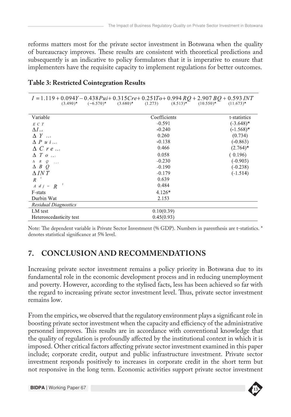reforms matters most for the private sector investment in Botswana when the quality of bureaucracy improves. These results are consistent with theoretical predictions and subsequently is an indicative to policy formulators that it is imperative to ensure that implementers have the requisite capacity to implement regulations for better outcomes.

| $(3.490)^*$ $(-6.570)^*$    | $I = 1.119 + 0.094Y - 0.438Pui + 0.315Cre + 0.251To + 0.994RQ + 2.907BQ + 0.593INT$<br>$(3.680)*$<br>(1.273) | $(8.513)^*$ $(10.550)^*$ $(11.673)^*$ |
|-----------------------------|--------------------------------------------------------------------------------------------------------------|---------------------------------------|
| Variable                    | Coefficients                                                                                                 | t-statistics                          |
| E C T                       | $-0.591$                                                                                                     | $(-3.648)$ *                          |
| $\Delta I$ and              | $-0.240$                                                                                                     | $(-1.568)*$                           |
| $\Delta$ $Y$ <sub>1-1</sub> | 0.260                                                                                                        | (0.734)                               |
| $\Delta P u i_{i-1}$        | $-0.138$                                                                                                     | $(-0.863)$                            |
| $\Delta$ C r e $_{t-1}$     | 0.466                                                                                                        | $(2.764)^*$                           |
| $\Delta T$ $\sigma$ $\sim$  | 0.058                                                                                                        | (0.196)                               |
| $\Delta$ $R$ $Q$ $\ldots$   | $-0.230$                                                                                                     | $(-0.903)$                            |
| $\Delta B Q$                | $-0.190$                                                                                                     | $(-0.238)$                            |
| $\Delta INT$                | $-0.179$                                                                                                     | $(-1.514)$                            |
| $R^{-2}$                    | 0.639                                                                                                        |                                       |
| $A \ d j - R^{-2}$          | 0.484                                                                                                        |                                       |
| F-stats                     | $4.126*$                                                                                                     |                                       |
| Durbin Wat                  | 2.153                                                                                                        |                                       |
| <b>Residual Diagnostics</b> |                                                                                                              |                                       |
| LM test                     | 0.10(0.39)                                                                                                   |                                       |
| Heteroscedasticity test     | 0.45(0.93)                                                                                                   |                                       |

#### **Table 3: Restricted Cointegration Results**

Note: The dependent variable is Private Sector Investment (% GDP). Numbers in parenthesis are t-statistics. \* denotes statistical significance at 5% level.

# **7. CONCLUSION AND RECOMMENDATIONS**

Increasing private sector investment remains a policy priority in Botswana due to its fundamental role in the economic development process and in reducing unemployment and poverty. However, according to the stylised facts, less has been achieved so far with the regard to increasing private sector investment level. Thus, private sector investment remains low.

**BIDPA Publications Series** not responsive in the long term. Economic activities support private sector investment From the empirics, we observed that the regulatory environment plays a significant role in boosting private sector investment when the capacity and efficiency of the administrative personnel improves. This results are in accordance with conventional knowledge that the quality of regulation is profoundly affected by the institutional context in which it is imposed. Other critical factors affecting private sector investment examined in this paper include; corporate credit, output and public infrastructure investment. Private sector investment responds positively to increases in corporate credit in the short term but

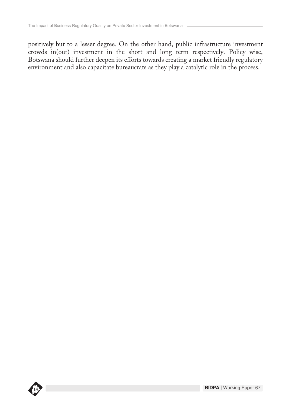positively but to a lesser degree. On the other hand, public infrastructure investment crowds in(out) investment in the short and long term respectively. Policy wise, Botswana should further deepen its efforts towards creating a market friendly regulatory environment and also capacitate bureaucrats as they play a catalytic role in the process.

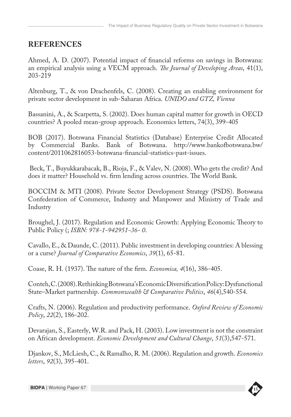### **REFERENCES**

Ahmed, A. D. (2007). Potential impact of financial reforms on savings in Botswana: an empirical analysis using a VECM approach. *The Journal of Developing Areas*, 41(1), 203-219

Altenburg, T., & von Drachenfels, C. (2008). Creating an enabling environment for private sector development in sub-Saharan Africa. *UNIDO and GTZ, Vienna*

Bassanini, A., & Scarpetta, S. (2002). Does human capital matter for growth in OECD countries? A pooled mean-group approach. Economics letters, 74(3), 399-405

BOB (2017). Botswana Financial Statistics (Database) Enterprise Credit Allocated by Commercial Banks. Bank of Botswana. http://www.bankofbotswana.bw/ content/2011062816053-botswana-financial-statistics-past-issues.

 Beck, T., Buyukkarabacak, B., Rioja, F., & Valev, N. (2008). Who gets the credit? And does it matter? Household vs. firm lending across countries. The World Bank.

BOCCIM & MTI (2008). Private Sector Development Strategy (PSDS). Botswana Confederation of Commerce, Industry and Manpower and Ministry of Trade and Industry

Broughel, J. (2017). Regulation and Economic Growth: Applying Economic Theory to Public Policy (; *ISBN: 978-1-942951-36- 0*.

Cavallo, E., & Daunde, C. (2011). Public investment in developing countries: A blessing or a curse? *Journal of Comparative Economics*, *39*(1), 65-81.

Coase, R. H. (1937). The nature of the firm. *Economica, 4*(16), 386-405.

Conteh, C. (2008). Rethinking Botswana's Economic Diversification Policy: Dysfunctional State–Market partnership. *Commonwealth & Comparative Politics*, *46*(4),540-554.

Crafts, N. (2006). Regulation and productivity performance. *Oxford Review of Economic Policy*, *22*(2), 186-202.

Devarajan, S., Easterly, W.R. and Pack, H. (2003). Low investment is not the constraint on African development. *Economic Development and Cultural Change*, *51*(3),547-571.

Djankov, S., McLiesh, C., & Ramalho, R. M. (2006). Regulation and growth. *Economics letters*, *92*(3), 395-401.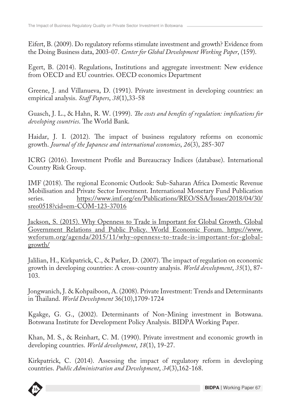Eifert, B. (2009). Do regulatory reforms stimulate investment and growth? Evidence from the Doing Business data, 2003-07. *Center for Global Development Working Paper*, (159).

Egert, B. (2014). Regulations, Institutions and aggregate investment: New evidence from OECD and EU countries. OECD economics Department

Greene, J. and Villanueva, D. (1991). Private investment in developing countries: an empirical analysis. *Staff Papers*, *38*(1),33-58

Guasch, J. L., & Hahn, R. W. (1999). *The costs and benefits of regulation: implications for developing countries*. The World Bank.

Haidar, J. I. (2012). The impact of business regulatory reforms on economic growth. *Journal of the Japanese and international economies*, *26*(3), 285-307

ICRG (2016). Investment Profile and Bureaucracy Indices (database). International Country Risk Group.

IMF (2018). The regional Economic Outlook: Sub-Saharan Africa Domestic Revenue Mobilisation and Private Sector Investment. International Monetary Fund Publication series. https://www.imf.org/en/Publications/REO/SSA/Issues/2018/04/30/ sreo0518?cid=em-COM-123-37016

Jackson, S. (2015). Why Openness to Trade is Important for Global Growth. Global Government Relations and Public Policy. World Economic Forum. https://www. weforum.org/agenda/2015/11/why-openness-to-trade-is-important-for-globalgrowth/

Jalilian, H., Kirkpatrick, C., & Parker, D. (2007). The impact of regulation on economic growth in developing countries: A cross-country analysis. *World development*, *35*(1), 87- 103.

Jongwanich, J. & Kohpaiboon, A. (2008). Private Investment: Trends and Determinants in Thailand. *World Development* 36(10),1709-1724

Kgakge, G. G., (2002). Determinants of Non-Mining investment in Botswana. Botswana Institute for Development Policy Analysis. BIDPA Working Paper.

Khan, M. S., & Reinhart, C. M. (1990). Private investment and economic growth in developing countries. *World development*, *18*(1), 19-27.

**BIDPA Publications Series** countries. *Public Administration and Development*, *34*(3),162-168.Kirkpatrick, C. (2014). Assessing the impact of regulatory reform in developing

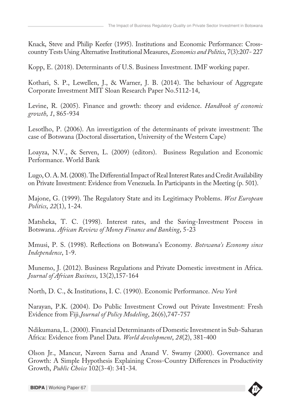Knack, Steve and Philip Keefer (1995). Institutions and Economic Performance: Crosscountry Tests Using Alternative Institutional Measures, *Economics and Politics*, 7(3):207- 227

Kopp, E. (2018). Determinants of U.S. Business Investment. IMF working paper.

Kothari, S. P., Lewellen, J., & Warner, J. B. (2014). The behaviour of Aggregate Corporate Investment MIT Sloan Research Paper No.5112-14,

Levine, R. (2005). Finance and growth: theory and evidence. *Handbook of economic growth*, *1*, 865-934

Lesotlho, P. (2006). An investigation of the determinants of private investment: The case of Botswana (Doctoral dissertation, University of the Western Cape)

Loayza, N.V., & Serven, L. (2009) (editors). Business Regulation and Economic Performance. World Bank

Lugo, O. A. M. (2008). The Differential Impact of Real Interest Rates and Credit Availability on Private Investment: Evidence from Venezuela. In Participants in the Meeting (p. 501).

Majone, G. (1999). The Regulatory State and its Legitimacy Problems. *West European Politics*, *22*(1), 1-24.

Matsheka, T. C. (1998). Interest rates, and the Saving-Investment Process in Botswana. *African Review of Money Finance and Banking*, 5-23

Mmusi, P. S. (1998). Reflections on Botswana's Economy. *Botswana's Economy since Independence*, 1-9.

Munemo, J. (2012). Business Regulations and Private Domestic investment in Africa. *Journal of African Business*, 13(2),157-164

North, D. C., & Institutions, I. C. (1990). Economic Performance. *New York*

Narayan, P.K. (2004). Do Public Investment Crowd out Private Investment: Fresh Evidence from Fiji.*Journal of Policy Modeling*, 26(6),747-757

Ndikumana, L. (2000). Financial Determinants of Domestic Investment in Sub-Saharan Africa: Evidence from Panel Data. *World development*, *28*(2), 381-400

Olson Jr., Mancur, Naveen Sarna and Anand V. Swamy (2000). Governance and Growth: A Simple Hypothesis Explaining Cross-Country Differences in Productivity Growth, *Public Choice* 102(3-4): 341-34.

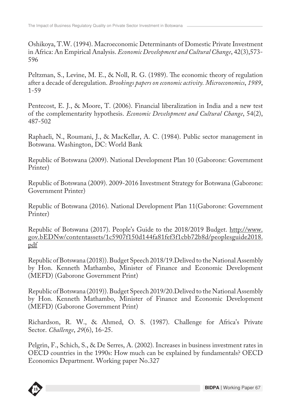Oshikoya, T.W. (1994). Macroeconomic Determinants of Domestic Private Investment in Africa: An Empirical Analysis. *Economic Development and Cultural Change*, 42(3),573- 596

Peltzman, S., Levine, M. E., & Noll, R. G. (1989). The economic theory of regulation after a decade of deregulation. *Brookings papers on economic activity. Microeconomics*, *1989*, 1-59

Pentecost, E. J., & Moore, T. (2006). Financial liberalization in India and a new test of the complementarity hypothesis. *Economic Development and Cultural Change*, 54(2), 487-502

Raphaeli, N., Roumani, J., & MacKellar, A. C. (1984). Public sector management in Botswana. Washington, DC: World Bank

Republic of Botswana (2009). National Development Plan 10 (Gaborone: Government Printer)

Republic of Botswana (2009). 2009-2016 Investment Strategy for Botswana (Gaborone: Government Printer)

Republic of Botswana (2016). National Development Plan 11(Gaborone: Government Printer)

Republic of Botswana (2017). People's Guide to the 2018/2019 Budget. http://www. gov.bEDNw/contentassets/1c5907f150d144fa81fef3f1cbb72b8d/peoplesguide2018. pdf

Republic of Botswana (2018)). Budget Speech 2018/19.Delived to the National Assembly by Hon. Kenneth Mathambo, Minister of Finance and Economic Development (MEFD) (Gaborone Government Print)

Republic of Botswana (2019)). Budget Speech 2019/20.Delived to the National Assembly by Hon. Kenneth Mathambo, Minister of Finance and Economic Development (MEFD) (Gaborone Government Print)

Richardson, R. W., & Ahmed, O. S. (1987). Challenge for Africa's Private Sector. *Challenge*, *29*(6), 16-25.

Pelgrin, F., Schich, S., & De Serres, A. (2002). Increases in business investment rates in OECD countries in the 1990s: How much can be explained by fundamentals? OECD Economics Department. Working paper No.327

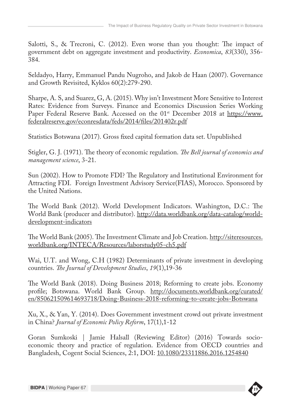Salotti, S., & Trecroni, C. (2012). Even worse than you thought: The impact of government debt on aggregate investment and productivity. *Economica*, *83*(330), 356- 384.

Seldadyo, Harry, Emmanuel Pandu Nugroho, and Jakob de Haan (2007). Governance and Growth Revisited, Kyklos 60(2):279-290.

Sharpe, A. S, and Suarez, G, A. (2015). Why isn't Investment More Sensitive to Interest Rates: Evidence from Surveys. Finance and Economics Discussion Series Working Paper Federal Reserve Bank. Accessed on the 01<sup>st</sup> December 2018 at https://www. federalreserve.gov/econresdata/feds/2014/files/201402r.pdf

Statistics Botswana (2017). Gross fixed capital formation data set. Unpublished

Stigler, G. J. (1971). The theory of economic regulation. *The Bell journal of economics and management science*, 3-21.

Sun (2002). How to Promote FDI? The Regulatory and Institutional Environment for Attracting FDI. Foreign Investment Advisory Service(FIAS), Morocco. Sponsored by the United Nations.

The World Bank (2012). World Development Indicators. Washington, D.C.: The World Bank (producer and distributor). http://data.worldbank.org/data-catalog/worlddevelopment-indicators

The World Bank (2005). The Investment Climate and Job Creation. http://siteresources. worldbank.org/INTECA/Resources/laborstudy05-ch5.pdf

Wai, U.T. and Wong, C.H (1982) Determinants of private investment in developing countries. *The Journal of Development Studies*, *19*(1),19-36

The World Bank (2018). Doing Business 2018; Reforming to create jobs. Economy profile; Botswana. World Bank Group. http://documents.worldbank.org/curated/ en/850621509614693718/Doing-Business-2018-reforming-to-create-jobs-Botswana

Xu, X., & Yan, Y. (2014). Does Government investment crowd out private investment in China? *Journal of Economic Policy Reform*, 17(1),1-12

Goran Sumkoski | Jamie Halsall (Reviewing Editor) (2016) Towards socioeconomic theory and practice of regulation. Evidence from OECD countries and Bangladesh, Cogent Social Sciences, 2:1, DOI: 10.1080/23311886.2016.1254840

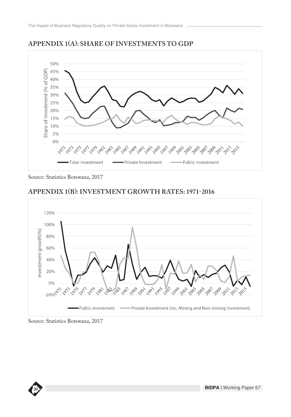

#### **APPENDIX 1(A): SHARE OF INVESTMENTS TO GDP**

Source: Statistics Botswana, 2017

#### **APPENDIX 1(B): INVESTMENT GROWTH RATES: 1971-2016**



Source: Statistics Botswana, 2017

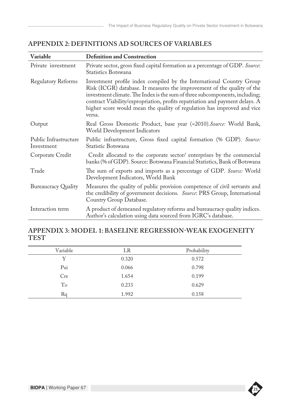| Variable                            | <b>Definition and Construction</b>                                                                                                                                                                                                                                                                                                                                                                  |
|-------------------------------------|-----------------------------------------------------------------------------------------------------------------------------------------------------------------------------------------------------------------------------------------------------------------------------------------------------------------------------------------------------------------------------------------------------|
| Private investment                  | Private sector, gross fixed capital formation as a percentage of GDP. Source:<br>Statistics Botswana                                                                                                                                                                                                                                                                                                |
| <b>Regulatory Reforms</b>           | Investment profile index compiled by the International Country Group<br>Risk (ICGR) database. It measures the improvement of the quality of the<br>investment climate. The Index is the sum of three subcomponents, including;<br>contract Viability/expropriation, profits repatriation and payment delays. A<br>higher score would mean the quality of regulation has improved and vice<br>versa. |
| Output                              | Real Gross Domestic Product, base year (=2010). Source: World Bank,<br>World Development Indicators                                                                                                                                                                                                                                                                                                 |
| Public Infrastructure<br>Investment | Public infrastructure, Gross fixed capital formation (% GDP). Source:<br>Statistic Botswana                                                                                                                                                                                                                                                                                                         |
| Corporate Credit                    | Credit allocated to the corporate sector/ enterprises by the commercial<br>banks (% of GDP). Source: Botswana Financial Statistics, Bank of Botswana                                                                                                                                                                                                                                                |
| Trade                               | The sum of exports and imports as a percentage of GDP. Source: World<br>Development Indicators, World Bank                                                                                                                                                                                                                                                                                          |
| <b>Bureaucracy Quality</b>          | Measures the quality of public provision competence of civil servants and<br>the credibility of government decisions. Source: PRS Group, International<br>Country Group Database.                                                                                                                                                                                                                   |
| Interaction term                    | A product of demeaned regulatory reforms and bureaucracy quality indices.<br>Author's calculation using data sourced from IGRC's database.                                                                                                                                                                                                                                                          |

#### **APPENDIX 2: DEFINITIONS AD SOURCES OF VARIABLES**

### **APPENDIX 3: MODEL 1: BASELINE REGRESSION-WEAK EXOGENEITY TEST**

| Variable | LR    | Probability |
|----------|-------|-------------|
| Y        | 0.320 | 0.572       |
| Pui      | 0.066 | 0.798       |
| Cre      | 1.654 | 0.199       |
| To       | 0.233 | 0.629       |
| Ra       | 1.992 | 0.158       |

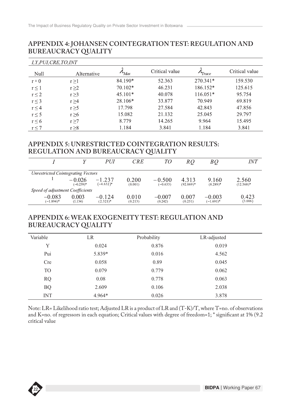#### **APPENDIX 4: JOHANSEN COINTEGRATION TEST: REGULATION AND BUREAUCRACY QUALITY**

| <i>I,Y,PUI,CRE,TO,INT</i> |             |                    |                |                   |                |
|---------------------------|-------------|--------------------|----------------|-------------------|----------------|
| Null                      | Alternative | $\mu_{\text{Max}}$ | Critical value | T <sub>race</sub> | Critical value |
| $r = 0$                   | r > 1       | 84.190*            | 52.363         | 270.341*          | 159.530        |
| r<1                       | r > 2       | $70.102*$          | 46.231         | 186.152*          | 125.615        |
| $r \leq 2$                | $r \geq 3$  | $45.101*$          | 40.078         | $116.051*$        | 95.754         |
| r < 3                     | r > 4       | 28.106*            | 33.877         | 70.949            | 69.819         |
| $r \leq 4$                | r > 5       | 17.798             | 27.584         | 42.843            | 47.856         |
| r < 5                     | r > 6       | 15.082             | 21.132         | 25.045            | 29.797         |
| $r \leq 6$                | r > 7       | 8.779              | 14.265         | 9.964             | 15.495         |
| $r \leq 7$                | r > 8       | 1.184              | 3.841          | 1.184             | 3.841          |

#### **APPENDIX 5: UNRESTRICTED COINTEGRATION RESULTS: REGULATION AND BUREAUCRACY QUALITY**

|                                           |                         | PUI                     | <i>CRE</i>       | TО                     | RO                    | ВQ                       | INT                   |
|-------------------------------------------|-------------------------|-------------------------|------------------|------------------------|-----------------------|--------------------------|-----------------------|
| <b>Unrestricted Cointegrating Vectors</b> |                         |                         |                  |                        |                       |                          |                       |
|                                           | $-0.026$<br>$(-0.239)*$ | $-1.237$<br>$(-4.632)*$ | 0.200<br>(0.001) | $-0.500$<br>$(-0.633)$ | 4.313<br>$(92.069)^*$ | 9.160<br>$(8.289)^*$     | 2.560<br>$(12.568)^*$ |
| Speed of adjustment Coefficients          |                         |                         |                  |                        |                       |                          |                       |
| $-0.083$<br>$(-1.894)^*$                  | 0.003<br>(1.134)        | $-0.124$<br>$(2.321)^*$ | 0.010<br>(0.213) | $-0.007$<br>(0.242)    | 0.007<br>(0.251)      | $-0.003$<br>$(-1.691)^*$ | 0.423<br>(3.006)      |

#### **APPENDIX 6: WEAK EXOGENEITY TEST: REGULATION AND BUREAUCRACY QUALITY**

| Variable       | LR       | Probability | LR-adjusted |  |
|----------------|----------|-------------|-------------|--|
| Y              | 0.024    | 0.876       | 0.019       |  |
| Pui            | 5.839*   | 0.016       | 4.562       |  |
| <b>Cre</b>     | 0.058    | 0.89        | 0.045       |  |
| T <sub>O</sub> | 0.079    | 0.779       | 0.062       |  |
| <b>RQ</b>      | 0.08     | 0.778       | 0.063       |  |
| <b>BQ</b>      | 2.609    | 0.106       | 2.038       |  |
| <b>INT</b>     | $4.964*$ | 0.026       | 3.878       |  |

Note: LR= Likelihood ratio test; Adjusted LR is a product of LR and (T-K)/T, where T=no. of observations and K=no. of regressors in each equation; Critical values with degree of freedom=1; \* significant at 1% (9.2 critical value

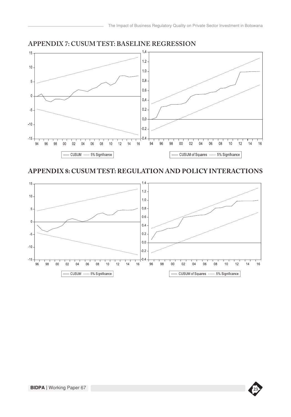

# **APPENDIX 7: CUSUM TEST: BASELINE REGRESSION**

#### **APPENDIX 8: CUSUM TEST: REGULATION AND POLICY INTERACTIONS**



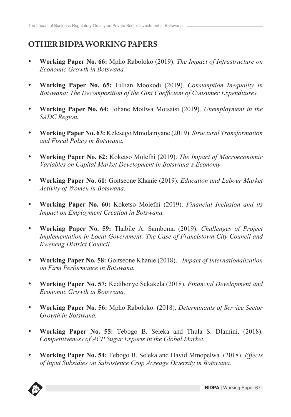## **OTHER BIDPA WORKING PAPERS**

- • **Working Paper No. 66:** Mpho Raboloko (2019). *The Impact of Infrastructure on Economic Growth in Botswana.*
- • **Working Paper No. 65:** Lillian Mookodi (2019). *Consumption Inequality in Botswana: The Decomposition of the Gini Coefficient of Consumer Expenditures.*
- • **Working Paper No. 64:** Johane Moilwa Motsatsi (2019). *Unemployment in the SADC Region.*
- • **Working Paper No. 63:** Kelesego Mmolainyane (2019). *Structural Transformation and Fiscal Policy in Botswana.*
- • **Working Paper No. 62:** Koketso Molefhi (2019). *The Impact of Macroeconomic Variables on Capital Market Development in Botswana's Economy.*
- • **Working Paper No. 61:** Goitseone Khanie (2019). *Education and Labour Market Activity of Women in Botswana.*
- • **Working Paper No. 60:** Koketso Molefhi (2019). *Financial Inclusion and its Impact on Employment Creation in Botswana.*
- • **Working Paper No. 59:** Thabile A. Samboma (2019). *Challenges of Project Implementation in Local Government: The Case of Francistown City Council and Kweneng District Council.*
- • **Working Paper No. 58:** Goitseone Khanie (2018). *Impact of Internationalization on Firm Performance in Botswana.*
- • **Working Paper No. 57:** Kedibonye Sekakela (2018). *Financial Development and Economic Growth in Botswana.*
- • **Working Paper No. 56:** Mpho Raboloko. (2018). *Determinants of Service Sector Growth in Botswana.*
- • **Working Paper No. 55:** Tebogo B. Seleka and Thula S. Dlamini. (2018). *Competitiveness of ACP Sugar Exports in the Global Market.*
- • **Working Paper No. 54:** Tebogo B. Seleka and David Mmopelwa. (2018). *Effects of Input Subsidies on Subsistence Crop Acreage Diversity in Botswana.*

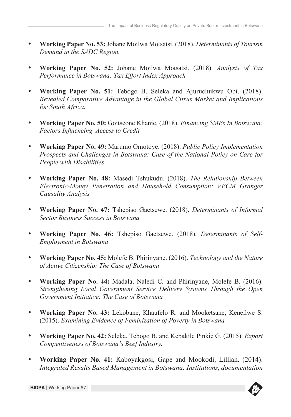- • **Working Paper No. 53:** Johane Moilwa Motsatsi. (2018). *Determinants of Tourism Demand in the SADC Region.*
- • **Working Paper No. 52:** Johane Moilwa Motsatsi. (2018). *Analysis of Tax Performance in Botswana: Tax Effort Index Approach*
- • **Working Paper No. 51:** Tebogo B. Seleka and Ajuruchukwu Obi. (2018). *Revealed Comparative Advantage in the Global Citrus Market and Implications for South Africa.*
- • **Working Paper No. 50:** Goitseone Khanie. (2018). *Financing SMEs In Botswana: Factors Influencing Access to Credit*
- • **Working Paper No. 49:** Marumo Omotoye. (2018). *Public Policy Implementation Prospects and Challenges in Botswana: Case of the National Policy on Care for People with Disabilities*
- • **Working Paper No. 48:** Masedi Tshukudu. (2018). *The Relationship Between Electronic-Money Penetration and Household Consumption: VECM Granger Causality Analysis*
- • **Working Paper No. 47:** Tshepiso Gaetsewe. (2018). *Determinants of Informal Sector Business Success in Botswana*
- • **Working Paper No. 46:** Tshepiso Gaetsewe. (2018). *Determinants of Self-Employment in Botswana*
- • **Working Paper No. 45:** Molefe B. Phirinyane. (2016). *Technology and the Nature of Active Citizenship: The Case of Botswana*
- • **Working Paper No. 44:** Madala, Naledi C. and Phirinyane, Molefe B. (2016). *Strengthening Local Government Service Delivery Systems Through the Open Government Initiative: The Case of Botswana*
- • **Working Paper No. 43:** Lekobane, Khaufelo R. and Mooketsane, Keneilwe S. (2015). *Examining Evidence of Feminization of Poverty in Botswana*
- • **Working Paper No. 42:** Seleka, Tebogo B. and Kebakile Pinkie G. (2015). *Export Competitiveness of Botswana's Beef Industry.*
- Integrated Results Based Management in Botswana: Institutions, documentation • **Working Paper No. 41:** Kaboyakgosi, Gape and Mookodi, Lillian. (2014).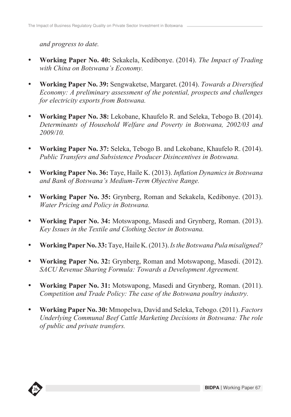*and progress to date.*

- • **Working Paper No. 40:** Sekakela, Kedibonye. (2014). *The Impact of Trading with China on Botswana's Economy.*
- • **Working Paper No. 39:** Sengwaketse, Margaret. (2014). *Towards a Diversified Economy: A preliminary assessment of the potential, prospects and challenges for electricity exports from Botswana.*
- • **Working Paper No. 38:** Lekobane, Khaufelo R. and Seleka, Tebogo B. (2014). *Determinants of Household Welfare and Poverty in Botswana, 2002/03 and 2009/10.*
- • **Working Paper No. 37:** Seleka, Tebogo B. and Lekobane, Khaufelo R. (2014). *Public Transfers and Subsistence Producer Disincentives in Botswana.*
- • **Working Paper No. 36:** Taye, Haile K. (2013). *Inflation Dynamics in Botswana and Bank of Botswana's Medium-Term Objective Range.*
- • **Working Paper No. 35:** Grynberg, Roman and Sekakela, Kedibonye. (2013). *Water Pricing and Policy in Botswana.*
- **Working Paper No. 34:** Motswapong, Masedi and Grynberg, Roman. (2013). *Key Issues in the Textile and Clothing Sector in Botswana.*
- • **Working Paper No. 33:** Taye, Haile K. (2013). *Is the Botswana Pula misaligned?*
- • **Working Paper No. 32:** Grynberg, Roman and Motswapong, Masedi. (2012). *SACU Revenue Sharing Formula: Towards a Development Agreement.*
- • **Working Paper No. 31:** Motswapong, Masedi and Grynberg, Roman. (2011). *Competition and Trade Policy: The case of the Botswana poultry industry.*
- • **Working Paper No. 30:** Mmopelwa, David and Seleka, Tebogo. (2011). *Factors Underlying Communal Beef Cattle Marketing Decisions in Botswana: The role of public and private transfers.*